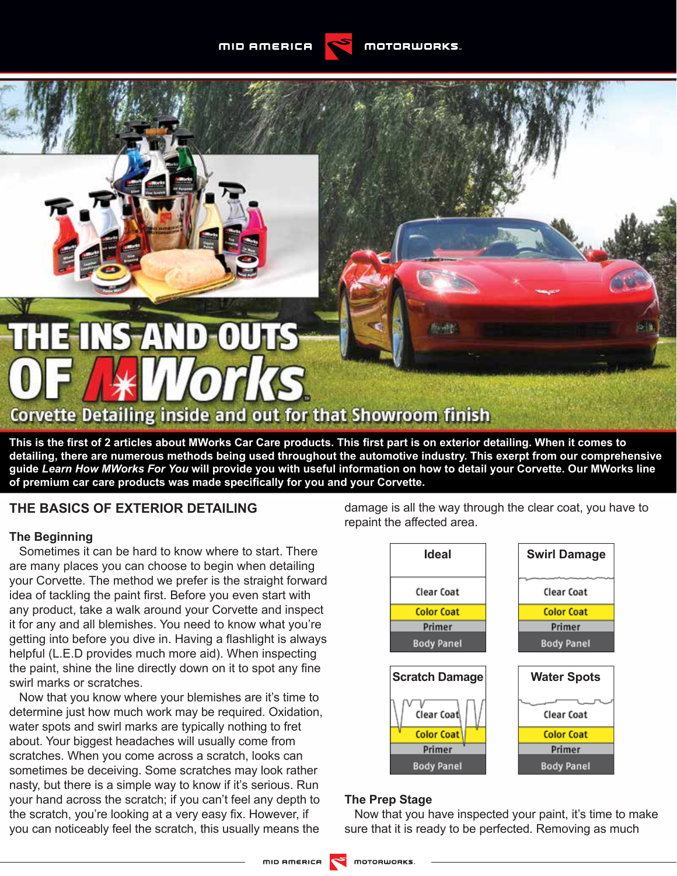MID AMERICA





This is the first of 2 articles about MWorks Car Care products. This first part is on exterior detailing. When it comes to **detailing, there are numerous methods being used throughout the automotive industry. This exerpt from our comprehensive guide** *Learn How MWorks For You* **will provide you with useful information on how to detail your Corvette. Our MWorks line**  of premium car care products was made specifically for you and your Corvette.

# **THE BASICS OF EXTERIOR DETAILING**

#### **The Beginning**

Sometimes it can be hard to know where to start. There are many places you can choose to begin when detailing your Corvette. The method we prefer is the straight forward idea of tackling the paint first. Before you even start with any product, take a walk around your Corvette and inspect it for any and all blemishes. You need to know what you're getting into before you dive in. Having a flashlight is always helpful (L.E.D provides much more aid). When inspecting the paint, shine the line directly down on it to spot any fine swirl marks or scratches.

Now that you know where your blemishes are it's time to determine just how much work may be required. Oxidation, water spots and swirl marks are typically nothing to fret about. Your biggest headaches will usually come from scratches. When you come across a scratch, looks can sometimes be deceiving. Some scratches may look rather nasty, but there is a simple way to know if it's serious. Run your hand across the scratch; if you can't feel any depth to the scratch, you're looking at a very easy fix. However, if you can noticeably feel the scratch, this usually means the

damage is all the way through the clear coat, you have to repaint the affected area.



## **The Prep Stage**

Now that you have inspected your paint, it's time to make sure that it is ready to be perfected. Removing as much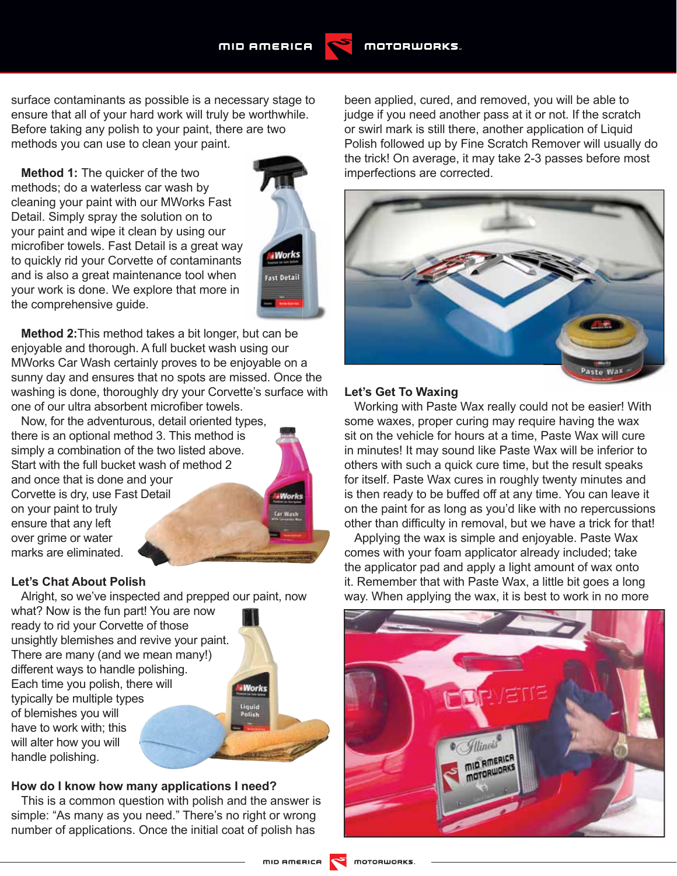

surface contaminants as possible is a necessary stage to ensure that all of your hard work will truly be worthwhile. Before taking any polish to your paint, there are two methods you can use to clean your paint.

**Method 1:** The quicker of the two methods; do a waterless car wash by cleaning your paint with our MWorks Fast Detail. Simply spray the solution on to your paint and wipe it clean by using our microfiber towels. Fast Detail is a great way to quickly rid your Corvette of contaminants and is also a great maintenance tool when your work is done. We explore that more in the comprehensive guide.



**Method 2:**This method takes a bit longer, but can be enjoyable and thorough. A full bucket wash using our MWorks Car Wash certainly proves to be enjoyable on a sunny day and ensures that no spots are missed. Once the washing is done, thoroughly dry your Corvette's surface with one of our ultra absorbent microfiber towels.

Now, for the adventurous, detail oriented types, there is an optional method 3. This method is simply a combination of the two listed above. Start with the full bucket wash of method 2 and once that is done and your Corvette is dry, use Fast Detail on your paint to truly ensure that any left over grime or water marks are eliminated.

## **Let's Chat About Polish**

Alright, so we've inspected and prepped our paint, now what? Now is the fun part! You are now ready to rid your Corvette of those unsightly blemishes and revive your paint. There are many (and we mean many!) different ways to handle polishing. Each time you polish, there will typically be multiple types of blemishes you will have to work with; this will alter how you will handle polishing.

## **How do I know how many applications I need?**

This is a common question with polish and the answer is simple: "As many as you need." There's no right or wrong number of applications. Once the initial coat of polish has

been applied, cured, and removed, you will be able to judge if you need another pass at it or not. If the scratch or swirl mark is still there, another application of Liquid Polish followed up by Fine Scratch Remover will usually do the trick! On average, it may take 2-3 passes before most imperfections are corrected.



### **Let's Get To Waxing**

Working with Paste Wax really could not be easier! With some waxes, proper curing may require having the wax sit on the vehicle for hours at a time, Paste Wax will cure in minutes! It may sound like Paste Wax will be inferior to others with such a quick cure time, but the result speaks for itself. Paste Wax cures in roughly twenty minutes and is then ready to be buffed off at any time. You can leave it on the paint for as long as you'd like with no repercussions other than difficulty in removal, but we have a trick for that!

Applying the wax is simple and enjoyable. Paste Wax comes with your foam applicator already included; take the applicator pad and apply a light amount of wax onto it. Remember that with Paste Wax, a little bit goes a long way. When applying the wax, it is best to work in no more